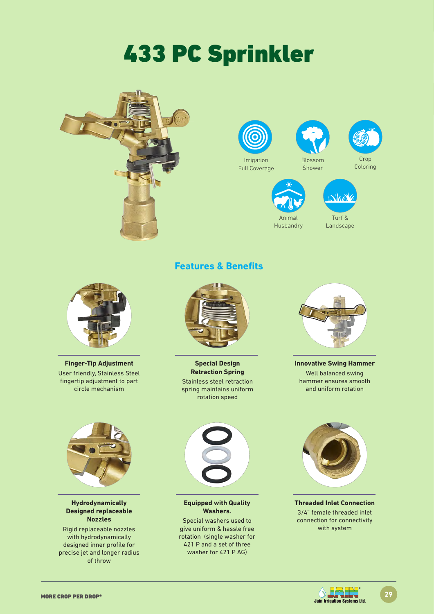# 433 PC Sprinkler





Animal Husbandry

Turf & Landscape



**Finger-Tip Adjustment** User friendly, Stainless Steel fingertip adjustment to part circle mechanism



**Hydrodynamically Designed replaceable Nozzles**

Rigid replaceable nozzles with hydrodynamically designed inner profile for precise jet and longer radius of throw



**Features & Benefits**

**Special Design Retraction Spring** Stainless steel retraction spring maintains uniform rotation speed



**Innovative Swing Hammer** Well balanced swing hammer ensures smooth and uniform rotation



**Equipped with Quality Washers.**

Special washers used to give uniform & hassle free rotation (single washer for 421 P and a set of three washer for 421 P AG)



**Threaded Inlet Connection** 3/4" female threaded inlet connection for connectivity with system